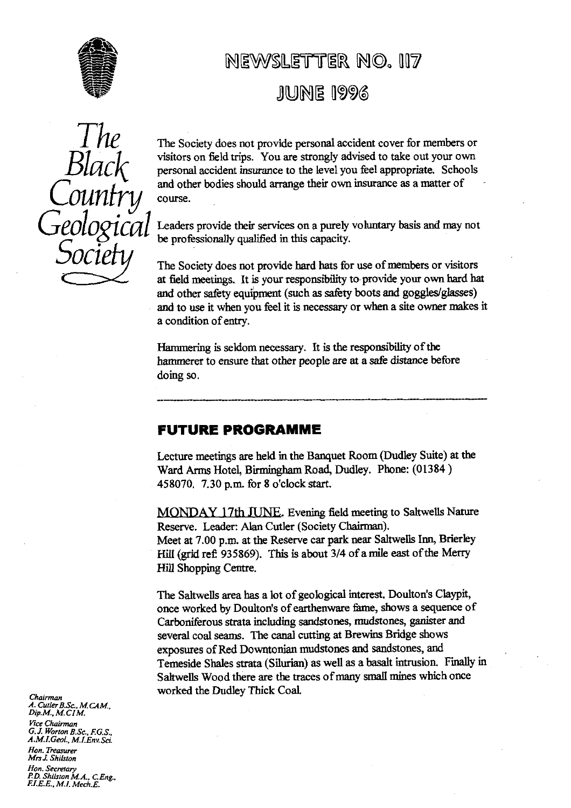

# NEWSLETTER NO. 117

## **JUNE 1996**

Coun Geological *Socie*

The Society does not provide personal accident cover for members or visitors on field t**ri**ps. You are strongly advised to take out your own personal accident insurance to the level you feel appropriate. Schools and other bodies should arrange their own insurance as a matter of course.

Leaders provide their services on a purely voluntary basis and may not be professionally qualified in this capacity.

The Society does not provide hard hats for use of mem**be**rs or visitors at field meetings. It is your responsibility to provide your own hard hat and other safety equipment (such as safety boots and goggles/giasses) and to use it when you feel it is necessary or when a site owner makes it a condition of entry.

Hammering is seldom necessa**ry**. It is the responsibility of the hammerer to ensure that other people are at a safe distance befo**re** doing so.

## FUTURE PROGRAMME

Lecture meetings are held in the Banquet Room (Dudley Suite) at the Ward Arms Hotel, Birmingham Road, Dudley. Phone: **(01384)** 458070. 7.30 p.m. for 8 o'clock start.

MONDAY 17th JUNE. Evening field meeting to Saltwells Nature Reserve. Leader: Alan Cutler (Society Chairman). Meet at 7.00 p.m. at the Reserve car park near Saltwells Inn, B**ri**erley Hill (grid ref 935869). This is about **3/4** of a mile east of the Merry **Hill** Shopping Centre.

The Saltwells area has a lot of geological interest. Doulton's Claypit, once worked by Doulton's of earthenware fame, shows a sequence of Carboniferous strata including sandstones, mudstones, ganister and several coal seams. The canal cutting at Brewins Bridge shows exposures of Red Downtonian mudstones and sandstones, and Temeside Shales strata (Silurian) as well as a basalt intrusion. Finally in Saltwells Wood there are the traces of many small mines which once worked the Dudley Thick Coal.

*Chairman A. CutlerB.Sc., MCAM., Dip.M., M.CIM. Vice Chairman G.J. Worton B.Sc., F.G S., A.M.I.GeoL, M1.Env Sci. Hon. Treasurer MrsJ Shilston Hon. Secretary PD Shilston M.A.,* DEng., *FI.E.E., M.I. Mech.E.*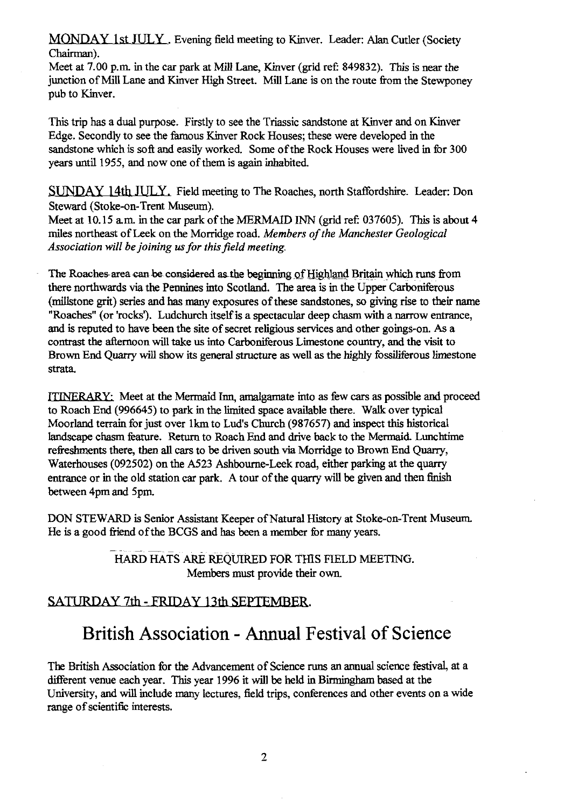**MONDAY 1st JULY .** Evening field meeting to Kinver. Leader: Alan Cutler (Society Chairman).

Meet at 7.00 p.m. in the car park at Mill Lane, Kinver (grid ref: 849832). This is near the junction of Mill Lane and Kinver High Street. Mill Lane is on the route from the Stewponey pub to Kinver.

This trip has a dual purpose. Firstly to see the Triassic sandstone at Kinver and on Kinver Edge. Secondly to see the famous Kinver Rock Houses; these were developed in the sandstone which is soft and easily worked. Some of the Rock Houses were lived in for 300 years until 1955, and now one of them is again inhabited.

SUNDAY 14th JULY. Field meeting to The Roaches, north Staffordshire. Leader: Don Steward (Stoke-on-Trent Museum).

Meet at 10.15 a.m. in the car park of the MERMAID INN (grid ref: 037605). This is about 4 miles northeast of Leek on the Morridge road. *Members of the Manchester Geological Association will be joining us for this field meeting.*

The Roaches-area can be considered as the beginning of Highland Britain which runs from there northwards via the Pennines into Scotland. The area is in the Upper Carboniferous (millstone grit) series and has many exposures of these sandstones, so giving rise to their name "Roaches" (or 'rocks). Ludchurch itself is a spectacular deep chasm with a narrow entrance, and is reputed to have been the site of secret religious services and other goings-on. As a contrast the afternoon will take us into Carboniferous Limestone country, and the visit to Brown End Quarry will show its general structure as well as the highly fossiliferous limestone strata.

ITINERARY: Meet at the Mermaid Inn, amalgamate into as few cars as possible and proceed to Roach End (996645) to park in the limited space available there. Walk over typical Moorland terrain for just over 1km to Lud's Church (987657) and inspect this historical landscape chasm feature. Return to Roach End and drive back to the Mermaid. Lunchtime refreshments there, then all cars to be driven south via Morridge to Brown End Quarry, Waterhouses (092502) on the A523 Ashbourne-Leek road, either parking at the quarry entrance or in the old station car park. A tour of the quarry will be given and then finish between 4pm and 5pm.

DON STEWARD is Senior Assistant Keeper of Natural History at Stoke-on-Trent Museum. He is a good friend of the BCGS and has been a member for many years.

> HARD HATS ARE REQUIRED FOR THIS FIELD MEETING. Members must provide their own.

## SATURDAY 7th - FRIDAY 13th SEPTEMBER.

## British Association - Annual Festival of Science

The British Association for the Advancement of Science runs an annual science festival, at a different venue each year. This year 1996 it will be held in Birmingham based at the University, and will include many lectures, field trips, conferences and other events on a wide range of scientific interests.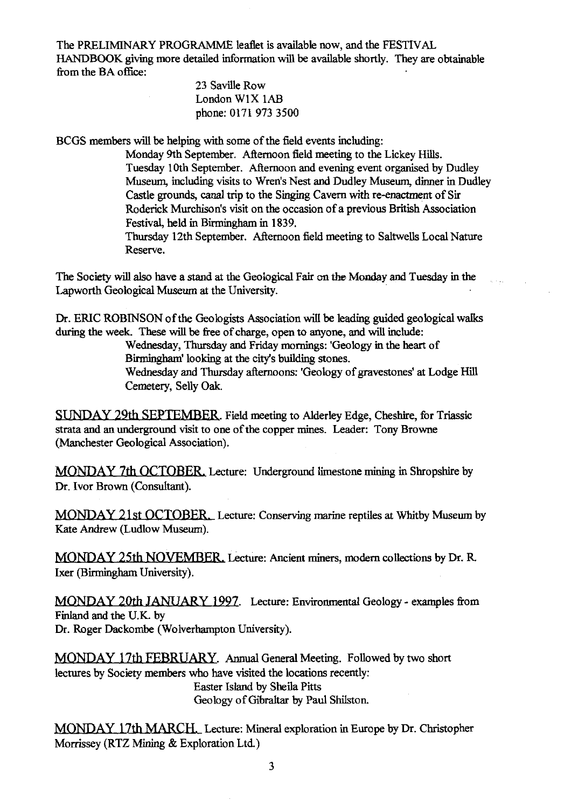The PRELIMINARY PROGRAMME leaflet is available now, and the FESTIVAL HANDBOOK giving more detailed information will be available shortly. They are obtainable from the BA office:

#### 23 Saville Row London WIX lAB phone: 0171 973 3500

BCGS members will be helping with some of the field events including:

Monday 9th September. Afternoon field meeting to the Lickey Hills. Tuesday 10th September. Afternoon and evening event organised by Dudley Museum, including visits to Wren's Nest and Dudley Museum, dinner in Dudley Castle grounds, canal trip to the Singing Cavern with re-enactment of Sir Roderick Murchison's visit on the occasion of a previous British Association Festival, held in Birmingham in 1839.

Thursday 12th September. Afternoon field meeting to Saltwells Local Nature Reserve.

The Society will also have a stand at the Geological. Fair on the Monday and Tuesday in the Lapworth Geological Museum at the University.

Dr. ERIC ROBINSON of the Geologists Association will be leading guided geological walks during the week. These will be free of charge, open to anyone, and will include:

> Wednesday, Thursday and Friday mornings: 'Geology in the heart of Birmingham' looking at the city's building stones.

Wednesday and Thursday afternoons: 'Geology of gravestones' at Lodge Hill Cemetery, Selly Oak.

SUNDAY 29th SEPTEMBER. Field meeting to Alderley Edge, Cheshire, for Triassic strata and an underground visit to one of the copper mines. Leader: Tony Browne (Manchester Geological Association).

MONDAY 7th OCTOBER Lecture: Underground limestone mining in Shropshire by Dr. Ivor Brown (Consultant).

MONDAY 21st OCTOBER\_ Lecture: Conserving marine reptiles at Whitby Museum by Kate *Andrew* (Ludlow Museum).

MONDAY 25th NOVEMBER. Lecture: Ancient miners, modern collections by Dr. R. Ixer (Birmingham University).

MO*NDAY 20th IAN VARY l 497.* Lecture: Environmental Geology - examples from Finland and the U.K. by Dr. Roger Dackombe (Wolverhampton University).

MONDAY 17th FEBRUARY. Annual General Meeting. Followed by two short lectures by Society members who have visited the locations recently: Easter Island by Sheila Pitts Geology of Gibraltar by Paul Shilston.

MONDAY *17th* MARCH.\_ Lecture: Mineral exploration in Europe by Dr. Christopher Morrissey (RTZ Mining & Exploration Ltd.)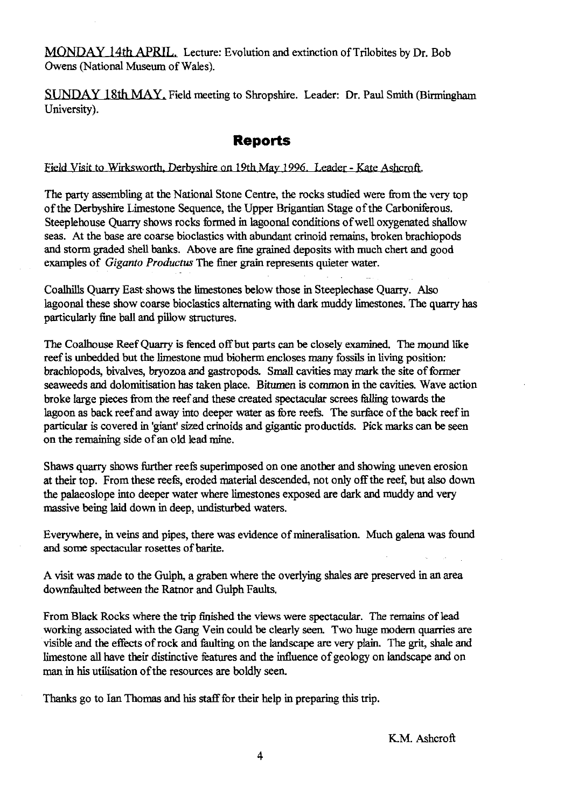MONDAY 14th APRIL. Lecture: Evolution and extinction of Trilobites by Dr. Bob Owens (National Museum of Wales).

SUNDAY 18th MAY. Field meeting to Shropshire. Leader: Dr. Paul Smith (Birmingham University).

### **Reports**

Field Visit to Wirksworth, Derbyshire on 19th May 1996. Leader - Kate Ashcroft.

The party assembling at the National Stone Centre, the rocks studied were from the very top of the Derbyshire Limestone Sequence, the Upper Brigantian Stage of the Carboniferous. Steeplehouse Quarry shows rocks formed in lagoonal conditions of well oxygenated shallow seas. At the base are coarse bioclastics with abundant crinoid remains, broken brachiopods and storm graded shell banks. Above are fine grained deposits with much chert and good examples of *Giganto Productus* The finer grain represents quieter water.

Coalbills Quarry East• shows the limestones below those in Steeplechase Quarry. Also lagoonal these show coarse bioclastics alternating with dark muddy limestones. The quarry has particularly fine ball and pillow structures.

The Coalhouse Reef Quarry is fenced off but parts can be closely examined. The mound like reef is unbedded but the limestone mud bioherm encloses many fossils in living position: brachiopods, bivalves, bryozoa and gastropods. Small cavities may mark the site of former seaweeds and dolomitisation has taken place. Bitumen is common in the cavities. Wave action broke large pieces from the reef and these created spectacular screes *falling towards* the lagoon as back reef and away into deeper water as fore reefs. The surface of the back reef in particular is covered in 'giant' sized crinoids and gigantic productids. Pick marks can be seen on the remaining side of an old lead mine.

Shaws quarry shows further reefs superimposed on one another and showing uneven erosion at their top. From these reefs, eroded material descended, not only off the reef, but also down the palaeoslope into deeper water where limestones exposed are dark and muddy and very massive being laid down in deep, undisturbed waters.

Everywhere, in veins and pipes, there was evidence of mineralisation. Much galena was found and some spectacular rosettes of barite.

A visit was made to the Guiph, a graben where the overlying shales are preserved in an area downfaulted between *the* Ratnor and Guiph Faults.

From Black Rocks where the trip finished the views were spectacular. The remains of lead working associated with the Gang Vein could be clearly seen. Two huge modern quarries are visible and the effects of rock and faulting on the landscape are very plain. The grit, shale and limestone all have their distinctive features and the influence of geology on landscape and on man in his utilisation of the resources are boldly seen.

Thanks go to Ian Thomas and his staff for their help in preparing this trip.